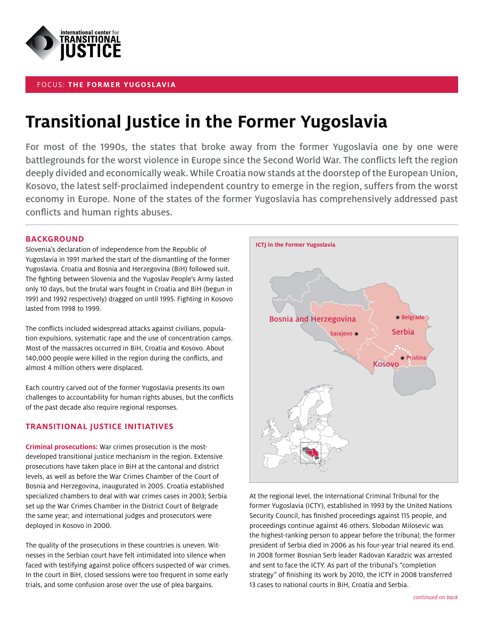

## FOCUS: **THE FORMER YUGOSLAVIA**

**Transitional Justice in the Former Yugoslavia** For most of the 1990s, the states that broke away from the former Yugoslavia one by one were battlegrounds for the worst violence in Europe since the Second World War. The conflicts left the region deeply divided and economically weak. While Croatia now stands at the doorstep of the European Union, Kosovo, the latest self-proclaimed independent country to emerge in the region, suffers from the worst economy in Europe. None of the states of the former Yugoslavia has comprehensively addressed past conflicts and human rights abuses.

**BACKGROUT STACKGROUND**<br>Slovenia's declaration of independence from the Republic of Yugoslavia in 1991 marked the start of the dismantling of the former Yugoslavia. Croatia and Bosnia and Herzegovina (BiH) followed suit. The fighting between Slovenia and the Yugoslav People's Army lasted only 10 days, but the brutal wars fought in Croatia and BiH (begun in 1991 and 1992 respectively) dragged on until 1995. Fighting in Kosovo lasted from 1998 to 1999.

The conflicts included widespread attacks against civilians, population expulsions, systematic rape and the use of concentration camps. Most of the massacres occurred in BiH, Croatia and Kosovo. About 140,000 people were killed in the region during the conflicts, and almost 4 million others were displaced.

Each country carved out of the former Yugoslavia presents its own challenges to accountability for human rights abuses, but the conflicts of the past decade also require regional responses.

# **TRANSITIONAL JUSTICE INITIATIVES**

**Criminal prosecutions:** War crimes prosecution is the mostdeveloped transitional justice mechanism in the region. Extensive prosecutions have taken place in BiH at the cantonal and district levels, as well as before the War Crimes Chamber of the Court of Bosnia and Herzegovina, inaugurated in 2005. Croatia established specialized chambers to deal with war crimes cases in 2003; Serbia set up the War Crimes Chamber in the District Court of Belgrade the same year; and international judges and prosecutors were deployed in Kosovo in 2000.

The quality of the prosecutions in these countries is uneven. Witnesses in the Serbian court have felt intimidated into silence when faced with testifying against police officers suspected of war crimes. In the court in BiH, closed sessions were too frequent in some early trials, and some confusion arose over the use of plea bargains.



At the regional level, the International Criminal Tribunal for the former Yugoslavia (ICTY), established in 1993 by the United Nations Security Council, has finished proceedings against 115 people, and proceedings continue against 46 others. Slobodan Milosevic was the highest-ranking person to appear before the tribunal; the former president of Serbia died in 2006 as his four-year trial neared its end. In 2008 former Bosnian Serb leader Radovan Karadzic was arrested and sent to face the ICTY. As part of the tribunal's "completion strategy" of finishing its work by 2010, the ICTY in 2008 transferred 13 cases to national courts in BiH, Croatia and Serbia.